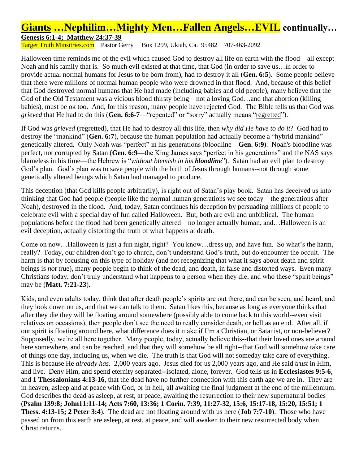## **Giants …Nephilim…Mighty Men…Fallen Angels…EVIL continually… Genesis 6:1-4; Matthew 24:37-39**

Target Truth Minsitries.com Pastor Gerry Box 1299, Ukiah, Ca. 95482 707-463-2092

Halloween time reminds me of the evil which caused God to destroy all life on earth with the flood—all except Noah and his family that is. So much evil existed at that time, that God (in order to save us…in order to provide actual normal humans for Jesus to be born from), had to destroy it all (**Gen. 6:5**). Some people believe that there were millions of normal human people who were drowned in that flood. And, because of this belief that God destroyed normal humans that He had made (including babies and old people), many believe that the God of the Old Testament was a vicious blood thirsty being—not a loving God…and that abortion (killing babies), must be ok too. And, for this reason, many people have rejected God. The Bible tells us that God was *grieved* that He had to do this (**Gen. 6:6-7**—"repented" or "sorry" actually means "regretted").

If God was *grieved* (regretted), that He had to destroy all this life, then *why did He have to do it*? God had to destroy the "mankind" (**Gen. 6:7**), because the human population had actually become a "hybrid mankind" genetically altered. Only Noah was "perfect" in his generations (bloodline—**Gen. 6:9**). Noah's bloodline was perfect, not corrupted by Satan (**Gen. 6:9—**the King James says "perfect in his generations" and the NAS says blameless in his time—the Hebrew is "*without blemish in his bloodline*"). Satan had an evil plan to destroy God's plan. God's plan was to save people with the birth of Jesus through humans--not through some genetically altered beings which Satan had managed to produce.

This deception (that God kills people arbitrarily), is right out of Satan's play book. Satan has deceived us into thinking that God had people (people like the normal human generations we see today—the generations after Noah), destroyed in the flood. And, today, Satan continues his deception by persuading millions of people to celebrate evil with a special day of fun called Halloween. But, both are evil and unbiblical. The human populations before the flood had been genetically altered—no longer actually human, and…Halloween is an evil deception, actually distorting the truth of what happens at death.

Come on now…Halloween is just a fun night, right? You know…dress up, and have fun. So what's the harm, really? Today, our children don't go to church, don't understand God's truth, but do encounter the occult. The harm is that by focusing on this type of holiday (and not recognizing that what it says about death and spirit beings is *not* true), many people begin to think of the dead, and death, in false and distorted ways. Even many Christians today, don't truly understand what happens to a person when they die, and who these "spirit beings" may be (**Matt. 7:21-23**).

Kids, and even adults today, think that after death people's spirits are out there, and can be seen, and heard, and they look down on us, and that we can talk to them. Satan likes this, because as long as everyone thinks that after they die they will be floating around somewhere (possibly able to come back to this world--even visit relatives on occasions), then people don't see the need to really consider death, or hell as an end. After all, if our spirit is floating around here, what difference does it make if I'm a Christian, or Satanist, or non-believer? Supposedly, we're all here together. Many people, today, actually believe this--that their loved ones are around here somewhere, and can be reached, and that they will somehow be all right--that God will somehow take care of things one day, including us, when we die. The truth is that God will not someday take care of everything. This is because He *already has*. 2,000 years ago. Jesus died for us 2,000 years ago, and He said *trust* in Him, and live. Deny Him, and spend eternity separated--isolated, alone, forever. God tells us in **Ecclesiastes 9:5-6**, and **1 Thessalonians 4:13-16**, that the dead have no further connection with this earth age we are in. They are in heaven, asleep and at peace with God, or in hell, all awaiting the final judgment at the end of the millennium. God describes the dead as asleep, at rest, at peace, awaiting the resurrection to their new supernatural bodies (**Psalm 139:8; John11:11-14; Acts 7:60, 13:36; 1 Corin. 7:39, 11:27-32, 15:6, 15:17-18, 15:20, 15:51; 1 Thess. 4:13-15; 2 Peter 3:4**). The dead are not floating around with us here (**Job 7:7-10**). Those who have passed on from this earth are asleep, at rest, at peace, and will awaken to their new resurrected body when Christ returns.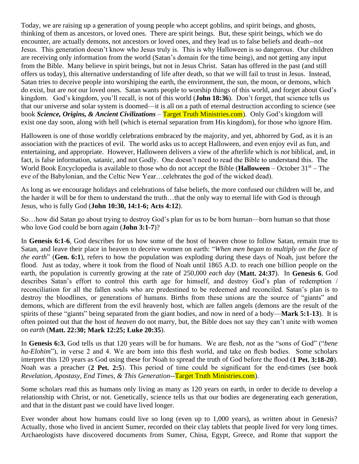Today, we are raising up a generation of young people who accept goblins, and spirit beings, and ghosts, thinking of them as ancestors, or loved ones. There are spirit beings. But, these spirit beings, which we do encounter, are actually demons, not ancestors or loved ones, and they lead us to false beliefs and death--not Jesus. This generation doesn't know who Jesus truly is. This is why Halloween is so dangerous. Our children are receiving only information from the world (Satan's domain for the time being), and not getting any input from the Bible. Many believe in spirit beings, but not in Jesus Christ. Satan has offered in the past (and still offers us today), this alternative understanding of life after death, so that we will fail to trust in Jesus. Instead, Satan tries to deceive people into worshiping the earth, the environment, the sun, the moon, or demons, which do exist, but are *not* our loved ones. Satan wants people to worship things of this world, and forget about God's kingdom. God's kingdom, you'll recall, is not of this world (**John 18:36**). Don't forget, that science tells us that our universe and solar system is doomed—it is all on a path of eternal destruction according to science (see book *Science, Origins, & Ancient Civilizations* – Target Truth Ministries.com). Only God's kingdom will exist one day soon, along with hell (which is eternal separation from His kingdom), for those who ignore Him.

Halloween is one of those worldly celebrations embraced by the majority, and yet, abhorred by God, as it is an association with the practices of evil. The world asks us to accept Halloween, and even enjoy evil as fun, and entertaining, and appropriate. However, Halloween delivers a view of the afterlife which is *not* biblical, and, in fact, is false information, satanic, and not Godly. One doesn't need to read the Bible to understand this. The World Book Encyclopedia is available to those who do not accept the Bible (**Halloween** – October 31<sup>st</sup> – The eve of the Babylonian, and the Celtic New Year…celebrates the god of the wicked dead).

As long as we encourage holidays and celebrations of false beliefs, the more confused our children will be, and the harder it will be for them to understand the truth…that the only way to eternal life with God is through Jesus, who is fully God (**John 10:30, 14:1-6; Acts 4:12**).

So…how did Satan go about trying to destroy God's plan for us to be born human—born human so that those who love God could be born again (**John 3:1-7**)?

In **Genesis 6:1-6**, God describes for us how some of the host of heaven chose to follow Satan, remain true to Satan, and leave their place in heaven to deceive women on earth: "*When men began to multiply on the face of the earth*" (**Gen. 6:1**), refers to how the population was exploding during these days of Noah, just before the flood. Just as today, where it took from the flood of Noah until 1865 A.D. to reach one billion people on the earth, the population is currently growing at the rate of 250,000 *each day* (**Matt. 24:37**). In **Genesis 6**, God describes Satan's effort to control this earth age for himself, and destroy God's plan of redemption / reconciliation for all the fallen souls who are predestined to be redeemed and reconciled. Satan's plan is to destroy the bloodlines, or generations of humans. Births from these unions are the source of "giants" and demons, which are different from the evil heavenly host, which are fallen angels (demons are the result of the spirits of these "giants" being separated from the giant bodies, and now in need of a body—**Mark 5:1-13**). It is often pointed out that the host of *heaven* do not marry, but, the Bible does not say they can't unite with women on *earth* (**Matt. 22:30; Mark 12:25; Luke 20:35**).

In **Genesis 6:3**, God tells us that 120 years will be for humans. We are flesh, *not* as the "sons of God" ("*bene ha-Elohim*"), in verse 2 and 4. We are born into this flesh world, and take on flesh bodies. Some scholars interpret this 120 years as God using these for Noah to spread the truth of God before the flood (**1 Pet. 3:18-20**). Noah was a preacher (**2 Pet. 2:5**). This period of time could be significant for the end-times (see book *Revelation, Apostasy, End Times, & This Generation*--Target Truth Ministries.com).

Some scholars read this as humans only living as many as 120 years on earth, in order to decide to develop a relationship with Christ, or not. Genetically, science tells us that our bodies are degenerating each generation, and that in the distant past we could have lived longer.

Ever wonder about how humans could live so long (even up to 1,000 years), as written about in Genesis? Actually, those who lived in ancient Sumer, recorded on their clay tablets that people lived for very long times. Archaeologists have discovered documents from Sumer, China, Egypt, Greece, and Rome that support the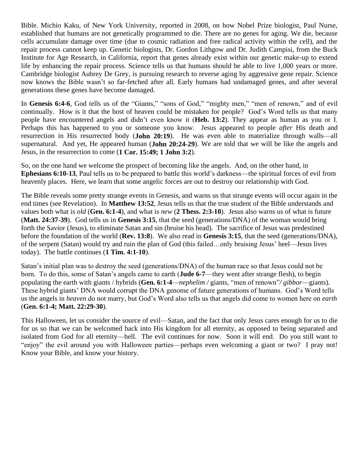Bible. Michio Kaku, of New York University, reported in 2008, on how Nobel Prize biologist, Paul Nurse, established that humans are not genetically programmed to die. There are no genes for aging. We die, because cells accumulate damage over time (due to cosmic radiation and free radical activity within the cell), and the repair process cannot keep up. Genetic biologists, Dr. Gordon Lithgow and Dr. Judith Campisi, from the Buck Institute for Age Research, in California, report that genes already exist within our genetic make-up to extend life by enhancing the repair process. Science tells us that humans should be able to live 1,000 years or more. Cambridge biologist Aubrey De Grey, is pursuing research to reverse aging by aggressive gene repair. Science now knows the Bible wasn't so far-fetched after all. Early humans had undamaged genes, and after several generations these genes have become damaged.

In **Genesis 6:4-6**, God tells us of the "Giants," "sons of God," "mighty men," "men of renown," and of evil continually. How is it that the host of heaven could be mistaken for people? God's Word tells us that many people have encountered angels and didn't even know it (**Heb. 13:2**). They appear as human as you or I. Perhaps this has happened to you or someone you know. Jesus appeared to people *after* His death and resurrection in His resurrected body (**John 20:19**). He was even able to materialize through walls—all supernatural. And yet, He appeared human (**John 20:24-29**). We are told that we will be like the angels and Jesus, in the resurrection to come (**1 Cor. 15:49; 1 John 3:2**).

So, on the one hand we welcome the prospect of becoming like the angels. And, on the other hand, in **Ephesians 6:10-13**, Paul tells us to be prepared to battle this world's darkness—the spiritual forces of evil from heavenly places. Here, we learn that some angelic forces are out to destroy our relationship with God.

The Bible reveals some pretty strange events in Genesis, and warns us that strange events will occur again in the end times (see Revelation). In **Matthew 13:52**, Jesus tells us that the true student of the Bible understands and values both what is *old* (**Gen. 6:1-4**), and what is *new* (**2 Thess. 2:3-10**). Jesus also warns us of what is future (**Matt. 24:37-39**). God tells us in **Genesis 3:15**, that the seed (generations/DNA) of the woman would bring forth the Savior (Jesus), to eliminate Satan and sin (bruise his head). The sacrifice of Jesus was predestined before the foundation of the world (**Rev. 13:8**). We also read in **Genesis 3:15**, that the seed (generations/DNA), of the serpent (Satan) would try and ruin the plan of God (this failed…only bruising Jesus' heel—Jesus lives today). The battle continues (**1 Tim. 4:1-10**).

Satan's initial plan was to destroy the seed (generations/DNA) of the human race so that Jesus could not be born. To do this, some of Satan's angels came to earth (**Jude 6-7**—they went after strange flesh), to begin populating the earth with giants / hybrids (**Gen. 6:1-4**—*nephelim /* giants, "men of renown"*/ gibbor*—giants). These hybrid giants' DNA would corrupt the DNA genome of future generations of humans. God's Word tells us the angels in *heaven* do not marry, but God's Word also tells us that angels did come to women here on *earth*  (**Gen. 6:1-4; Matt. 22:29-30**).

This Halloween, let us consider the source of evil—Satan, and the fact that only Jesus cares enough for us to die for us so that we can be welcomed back into His kingdom for all eternity, as opposed to being separated and isolated from God for all eternity—hell. The evil continues for now. Soon it will end. Do you still want to "enjoy" the evil around you with Halloween parties—perhaps even welcoming a giant or two? I pray not! Know your Bible, and know your history.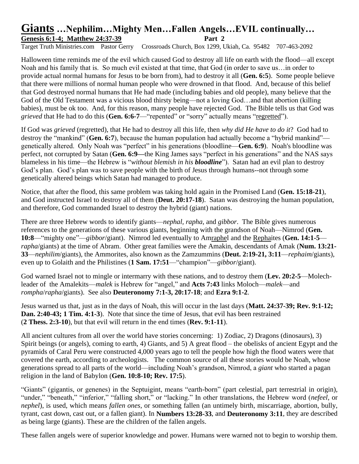## **Giants …Nephilim…Mighty Men…Fallen Angels…EVIL continually…** Genesis 6:1-4; Matthew 24:37-39 **Part 2**

Target Truth Ministries.com Pastor Gerry Crossroads Church, Box 1299, Ukiah, Ca. 95482 707-463-2092

Halloween time reminds me of the evil which caused God to destroy all life on earth with the flood—all except Noah and his family that is. So much evil existed at that time, that God (in order to save us…in order to provide actual normal humans for Jesus to be born from), had to destroy it all (**Gen. 6:5**). Some people believe that there were millions of normal human people who were drowned in that flood. And, because of this belief that God destroyed normal humans that He had made (including babies and old people), many believe that the God of the Old Testament was a vicious blood thirsty being—not a loving God…and that abortion (killing babies), must be ok too. And, for this reason, many people have rejected God. The Bible tells us that God was *grieved* that He had to do this (**Gen. 6:6-7**—"repented" or "sorry" actually means "regretted").

If God was *grieved* (regretted), that He had to destroy all this life, then *why did He have to do it*? God had to destroy the "mankind" (**Gen. 6:7**), because the human population had actually become a "hybrid mankind" genetically altered. Only Noah was "perfect" in his generations (bloodline—**Gen. 6:9**). Noah's bloodline was perfect, not corrupted by Satan (**Gen. 6:9—**the King James says "perfect in his generations" and the NAS says blameless in his time—the Hebrew is "*without blemish in his bloodline*"). Satan had an evil plan to destroy God's plan. God's plan was to save people with the birth of Jesus through humans--not through some genetically altered beings which Satan had managed to produce.

Notice, that after the flood, this same problem was taking hold again in the Promised Land (**Gen. 15:18-21**), and God instructed Israel to destroy all of them (**Deut. 20:17-18**). Satan was destroying the human population, and therefore, God commanded Israel to destroy the hybrid (giant) nations.

There are three Hebrew words to identify giants—*nephal, rapha*, and *gibbor*. The Bible gives numerous references to the generations of these various giants, beginning with the grandson of Noah—Nimrod (**Gen. 10:8**—"mighty one"—*gibbor*/giant). Nimrod led eventually to Amraphel and the Rephaites (**Gen. 14:1-5** *rapha*/giants) at the time of Abram. Other great families were the Amakin, descendants of Amak (**Num. 13:21- 33**—*nephilim*/giants), the Ammorites, also known as the Zamzummins (**Deut. 2:19-21, 3:11**—*rephaim*/giants), even up to Golaith and the Philistines (**1 Sam. 17:51**—"champion"—*gibbor*/giant).

God warned Israel not to mingle or intermarry with these nations, and to destroy them (**Lev. 20:2-5**—Molechleader of the Amalekits—*malek* is Hebrew for "angel," and **Acts 7:43** links Moloch—*malek*—and *rompha*/*rapha*/giants). See also **Deuteronomy 7:1-3, 20:17-18**; and **Ezra 9:1-2**.

Jesus warned us that, just as in the days of Noah, this will occur in the last days (**Matt. 24:37-39; Rev. 9:1-12; Dan. 2:40-43; 1 Tim. 4:1-3**). Note that since the time of Jesus, that evil has been restrained (**2 Thess. 2:3-10**), but that evil will return in the end times (**Rev. 9:1-11**).

All ancient cultures from all over the world have stories concerning: 1) Zodiac, 2) Dragons (dinosaurs), 3) Spirit beings (or angels), coming to earth, 4) Giants, and 5) A great flood – the obelisks of ancient Egypt and the pyramids of Caral Peru were constructed 4,000 years ago to tell the people how high the flood waters were that covered the earth, according to archeologists. The common source of all these stories would be Noah, whose generations spread to all parts of the world—including Noah's grandson, Nimrod, a *giant* who started a pagan religion in the land of Babylon (**Gen. 10:8-10; Rev. 17:5**).

"Giants" (gigantis, or genenes) in the Septuigint, means "earth-born" (part celestial, part terrestrial in origin), "under," "beneath," "inferior," "falling short," or "lacking." In other translations, the Hebrew word (*nefeel*, or *nephel*), is used, which means *fallen ones*, or something fallen (an untimely birth, miscarriage, abortion, bully, tyrant, cast down, cast out, or a fallen giant). In **Numbers 13:28-33**, and **Deuteronomy 3:11**, they are described as being large (giants). These are the children of the fallen angels.

These fallen angels were of superior knowledge and power. Humans were warned not to begin to worship them.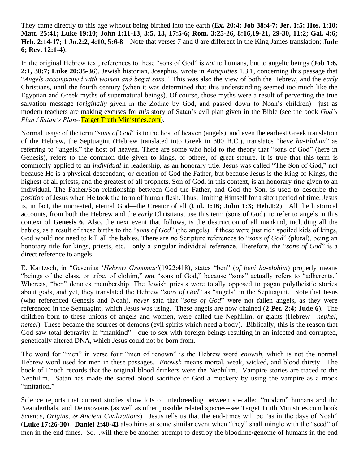They came directly to this age without being birthed into the earth (**Ex. 20:4; Job 38:4-7; Jer. 1:5; Hos. 1:10; Matt. 25:41; Luke 19:10; John 1:11-13, 3:5, 13, 17:5-6; Rom. 3:25-26, 8:16,19-21, 29-30, 11:2; Gal. 4:6; Heb. 2:14-17; 1 Jn.2:2, 4:10, 5:6-8**—Note that verses 7 and 8 are different in the King James translation; **Jude 6; Rev. 12:1-4**).

In the original Hebrew text, references to these "sons of God" is *not* to humans, but to angelic beings (**Job 1:6, 2:1, 38:7; Luke 20:35-36**). Jewish historian, Josephus, wrote in *Antiquities* 1.3.1, concerning this passage that "*Angels accompanied with women and begat sons."* This was also the view of both the Hebrew, and the *early* Christians, until the fourth century (when it was determined that this understanding seemed too much like the Egyptian and Greek myths of supernatural beings). Of course, those myths were a result of perverting the true salvation message (*originally* given in the Zodiac by God, and passed down to Noah's children)—just as modern teachers are making excuses for *this* story of Satan's evil plan given in the Bible (see the book *God's Plan / Satan's Plan*--Target Truth Ministries.com).

Normal usage of the term "*sons of God*" is to the host of heaven (angels), and even the earliest Greek translation of the Hebrew, the Septuagint (Hebrew translated into Greek in 300 B.C.), translates "*bene ha-Elohim*" as referring to "angels," the host of heaven. There are some who hold to the theory that "sons of God" (here in Genesis), refers to the common title given to kings, or others, of great stature. It is true that this term is commonly applied to an *individual* in leadership, as an honorary title. Jesus was called "The Son of God," not because He is a physical descendant, or creation of God the Father, but because Jesus is the King of Kings, the highest of all priests, and the greatest of all prophets. Son of God, in this context, is an honorary *title* given to an individual. The Father/Son relationship between God the Father, and God the Son, is used to describe the *position* of Jesus when He took the form of human flesh. Thus, limiting Himself for a short period of time. Jesus is, in fact, the uncreated, eternal God—the Creator of all (**Col. 1:16; John 1:3; Heb.1:2**). All the historical accounts, from both the Hebrew and the *early* Christians, use this term (sons of God), to refer to angels in this context of **Genesis 6**. Also, the next event that follows, is the destruction of all mankind, including all the babies, as a result of these births to the "*sons of God*" (the angels). If these were just rich spoiled kids of kings, God would not need to kill all the babies. There are *no* Scripture references to "*sons of God*" (plural), being an honorary title for kings, priests, etc.—only a singular individual reference. Therefore, the "*sons of God*" is a direct reference to angels.

E. Kantzsch, in "Gesenius '*Hebrew Grammar'*(1922:418), states "ben" (*of beni ha-elohim*) properly means "beings of the class, or tribe, of elohim," *not* "sons of God," because "sons" actually refers to "adherents." Whereas, "ben" denotes membership. The Jewish priests were totally opposed to pagan polytheistic stories about gods, and yet, they translated the Hebrew "*sons of God*" as "angels" in the Septuagint. Note that Jesus (who referenced Genesis and Noah), *never* said that "*sons of God*" were not fallen angels, as they were referenced in the Septuagint, which Jesus was using. These angels are now chained (**2 Pet. 2:4; Jude 6**). The children born to these unions of angels and women, were called the Nephilim, or giants (Hebrew—*nephel, nefeel*). These became the sources of demons (evil spirits which need a body). Biblically, this is the reason that God saw total depravity in "mankind"—due to sex with foreign beings resulting in an infected and corrupted, genetically altered DNA, which Jesus could not be born from.

The word for "men" in verse four "men of renown" is the Hebrew word *enowsh*, which is not the normal Hebrew word used for men in these passages. *Enowsh* means mortal, weak, wicked, and blood thirsty. The book of Enoch records that the original blood drinkers were the Nephilim. Vampire stories are traced to the Nephilim. Satan has made the sacred blood sacrifice of God a mockery by using the vampire as a mock "imitation."

Science reports that current studies show lots of interbreeding between so-called "modern" humans and the Neanderthals, and Denisovians (as well as other possible related species--see Target Truth Ministries.com book *Science, Origins, & Ancient Civilizations*). Jesus tells us that the end-times will be "as in the days of Noah" (**Luke 17:26-30**). **Daniel 2:40-43** also hints at some similar event when "they" shall mingle with the "seed" of men in the end times. So…will there be another attempt to destroy the bloodline/genome of humans in the end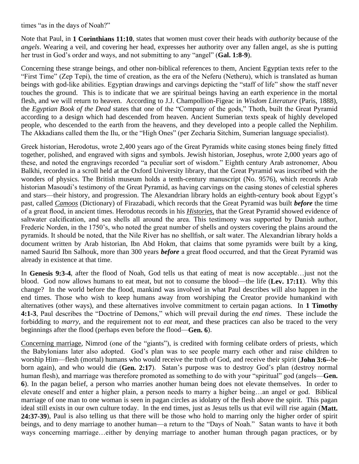times "as in the days of Noah?"

Note that Paul, in **1 Corinthians 11:10**, states that women must cover their heads with *authority* because of the *angels*. Wearing a veil, and covering her head, expresses her authority over any fallen angel, as she is putting her trust in God's order and ways, and not submitting to any "angel" (**Gal. 1:8-9**).

Concerning these strange beings, and other non-biblical references to them, Ancient Egyptian texts refer to the "First Time" (Zep Tepi), the time of creation, as the era of the Neferu (Netheru), which is translated as human beings with god-like abilities. Egyptian drawings and carvings depicting the "staff of life" show the staff never touches the ground. This is to indicate that we are spiritual beings having an earth experience in the mortal flesh, and we will return to heaven. According to J.J. Champollion-Figeac in *Wisdom Literature* (Paris, 1888), the *Egyptian Book of the Dead* states that one of the "Company of the gods," Thoth, built the Great Pyramid according to a design which had descended from heaven. Ancient Sumerian texts speak of highly developed people, who descended to the earth from the heavens, and they developed into a people called the Nephilim. The Akkadians called them the Ilu, or the "High Ones" (per Zecharia Sitchim, Sumerian language specialist).

Greek historian, Herodotus, wrote 2,400 years ago of the Great Pyramids white casing stones being finely fitted together, polished, and engraved with signs and symbols. Jewish historian, Josephus, wrote 2,000 years ago of these, and noted the engravings recorded "a peculiar sort of wisdom." Eighth century Arab astronomer, Abou Balkhi, recorded in a scroll held at the Oxford University library, that the Great Pyramid was inscribed with the wonders of physics. The British museum holds a tenth-century manuscript (No. 9576), which records Arab historian Masoudi's testimony of the Great Pyramid, as having carvings on the casing stones of celestial spheres and stars—their history, and progression. The Alexandrian library holds an eighth-century book about Egypt's past, called *Camoos* (Dictionary) of Firazabadi, which records that the Great Pyramid was built *before* the time of a great flood, in ancient times. Herodotus records in his *Histories,* that the Great Pyramid showed evidence of saltwater calcification, and sea shells all around the area. This testimony was supported by Danish author, Frederic Norden, in the 1750's, who noted the great number of shells and oysters covering the plains around the pyramids. It should be noted, that the Nile River has no shellfish, or salt water. The Alexandrian library holds a document written by Arab historian, Ibn Abd Hokm, that claims that some pyramids were built by a king, named Saurid Ibn Salhouk, more than 300 years *before* a great flood occurred, and that the Great Pyramid was already in existence at that time.

In **Genesis 9:3-4**, after the flood of Noah, God tells us that eating of meat is now acceptable…just not the blood. God now allows humans to eat meat, but not to consume the blood—the life (**Lev. 17:11**). Why this change? In the world before the flood, mankind was involved in what Paul describes will also happen in the end times. Those who wish to keep humans away from worshiping the Creator provide humankind with alternatives (other ways), and these alternatives involve commitment to certain pagan actions. In **1 Timothy 4:1-3**, Paul describes the "Doctrine of Demons," which will prevail during the *end times*. These include the forbidding to *marry*, and the requirement not to *eat meat*, and these practices can also be traced to the very beginnings after the flood (perhaps even before the flood—**Gen. 6**).

Concerning marriage, Nimrod (one of the "giants"), is credited with forming celibate orders of priests, which the Babylonians later also adopted. God's plan was to see people marry each other and raise children to worship Him—flesh (mortal) humans who would receive the truth of God, and receive their spirit (**John 3:6--**be born again), and who would die (**Gen. 2:17**). Satan's purpose was to destroy God's plan (destroy normal human flesh), and marriage was therefore promoted as something to do with your "spiritual" god (angels—**Gen. 6**). In the pagan belief, a person who marries another human being does not elevate themselves. In order to elevate oneself and enter a higher plain, a person needs to marry a higher being…an angel or god. Biblical marriage of one man to one woman is seen in pagan circles as idolatry of the flesh above the spirit. This pagan ideal still exists in our own culture today. In the end times, just as Jesus tells us that evil will rise again (**Matt. 24:37-39**), Paul is also telling us that there will be those who hold to marring only the higher order of spirit beings, and to deny marriage to another human—a return to the "Days of Noah." Satan wants to have it both ways concerning marriage…either by denying marriage to another human through pagan practices, or by